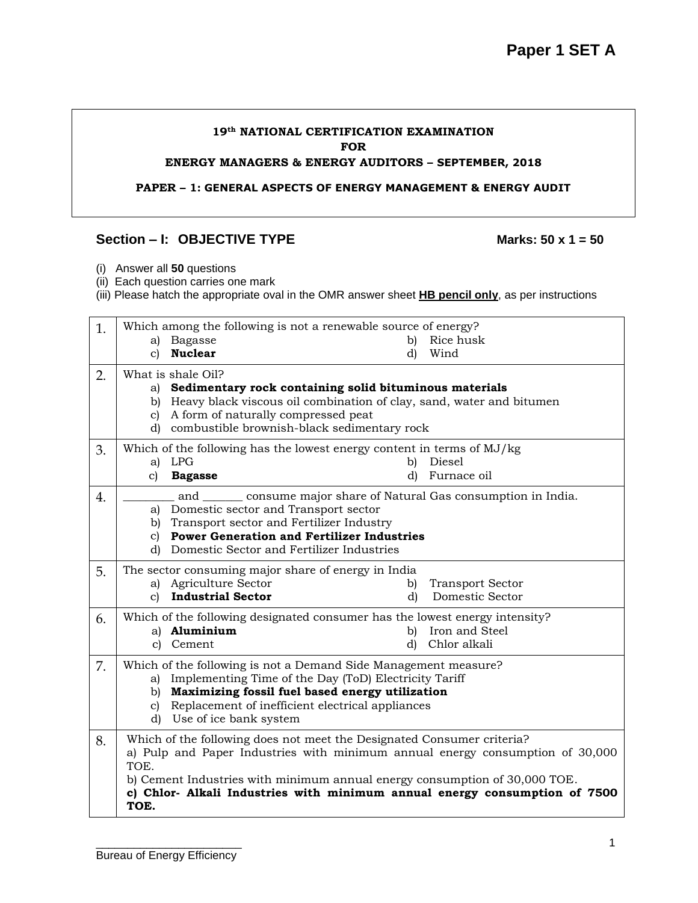#### **19th NATIONAL CERTIFICATION EXAMINATION FOR ENERGY MANAGERS & ENERGY AUDITORS – SEPTEMBER, 2018**

**PAPER – 1: GENERAL ASPECTS OF ENERGY MANAGEMENT & ENERGY AUDIT**

#### Section – **I:** OBJECTIVE TYPE Marks: 50 x 1 = 50

- (i) Answer all **50** questions
- (ii) Each question carries one mark
- (iii) Please hatch the appropriate oval in the OMR answer sheet **HB pencil only**, as per instructions

| 1. | Which among the following is not a renewable source of energy?                                        |                               |  |  |  |  |  |  |
|----|-------------------------------------------------------------------------------------------------------|-------------------------------|--|--|--|--|--|--|
|    | Bagasse<br>a)                                                                                         | Rice husk<br>b)               |  |  |  |  |  |  |
|    | <b>Nuclear</b><br>c)                                                                                  | Wind<br>d)                    |  |  |  |  |  |  |
| 2. | What is shale Oil?                                                                                    |                               |  |  |  |  |  |  |
|    | Sedimentary rock containing solid bituminous materials<br>a)                                          |                               |  |  |  |  |  |  |
|    | Heavy black viscous oil combination of clay, sand, water and bitumen<br>$\mathbf{b}$                  |                               |  |  |  |  |  |  |
|    | A form of naturally compressed peat<br>$\mathbf{c}$<br>d) combustible brownish-black sedimentary rock |                               |  |  |  |  |  |  |
|    |                                                                                                       |                               |  |  |  |  |  |  |
| 3. | Which of the following has the lowest energy content in terms of MJ/kg                                |                               |  |  |  |  |  |  |
|    | a) LPG                                                                                                | Diesel<br>b)                  |  |  |  |  |  |  |
|    | $\mathbf{c}$<br><b>Bagasse</b>                                                                        | Furnace oil<br>d)             |  |  |  |  |  |  |
| 4. | and _______ consume major share of Natural Gas consumption in India.                                  |                               |  |  |  |  |  |  |
|    | Domestic sector and Transport sector<br>a)                                                            |                               |  |  |  |  |  |  |
|    | b) Transport sector and Fertilizer Industry                                                           |                               |  |  |  |  |  |  |
|    | <b>Power Generation and Fertilizer Industries</b><br>$\mathbf{c}$                                     |                               |  |  |  |  |  |  |
|    | d) Domestic Sector and Fertilizer Industries                                                          |                               |  |  |  |  |  |  |
| 5. | The sector consuming major share of energy in India                                                   |                               |  |  |  |  |  |  |
|    | a) Agriculture Sector                                                                                 | <b>Transport Sector</b><br>b) |  |  |  |  |  |  |
|    | <b>Industrial Sector</b><br>$\mathbf{c}$                                                              | Domestic Sector<br>d)         |  |  |  |  |  |  |
| 6. | Which of the following designated consumer has the lowest energy intensity?                           |                               |  |  |  |  |  |  |
|    | a) <b>Aluminium</b>                                                                                   | Iron and Steel<br>b)          |  |  |  |  |  |  |
|    | c) Cement                                                                                             | Chlor alkali<br>d)            |  |  |  |  |  |  |
| 7. | Which of the following is not a Demand Side Management measure?                                       |                               |  |  |  |  |  |  |
|    | Implementing Time of the Day (ToD) Electricity Tariff<br>a)                                           |                               |  |  |  |  |  |  |
|    | b) Maximizing fossil fuel based energy utilization                                                    |                               |  |  |  |  |  |  |
|    | Replacement of inefficient electrical appliances<br>$\mathbf{c}$                                      |                               |  |  |  |  |  |  |
|    | d) Use of ice bank system                                                                             |                               |  |  |  |  |  |  |
| 8. | Which of the following does not meet the Designated Consumer criteria?                                |                               |  |  |  |  |  |  |
|    | a) Pulp and Paper Industries with minimum annual energy consumption of 30,000                         |                               |  |  |  |  |  |  |
|    | TOE.                                                                                                  |                               |  |  |  |  |  |  |
|    | b) Cement Industries with minimum annual energy consumption of 30,000 TOE.                            |                               |  |  |  |  |  |  |
|    | c) Chlor- Alkali Industries with minimum annual energy consumption of 7500                            |                               |  |  |  |  |  |  |
|    | TOE.                                                                                                  |                               |  |  |  |  |  |  |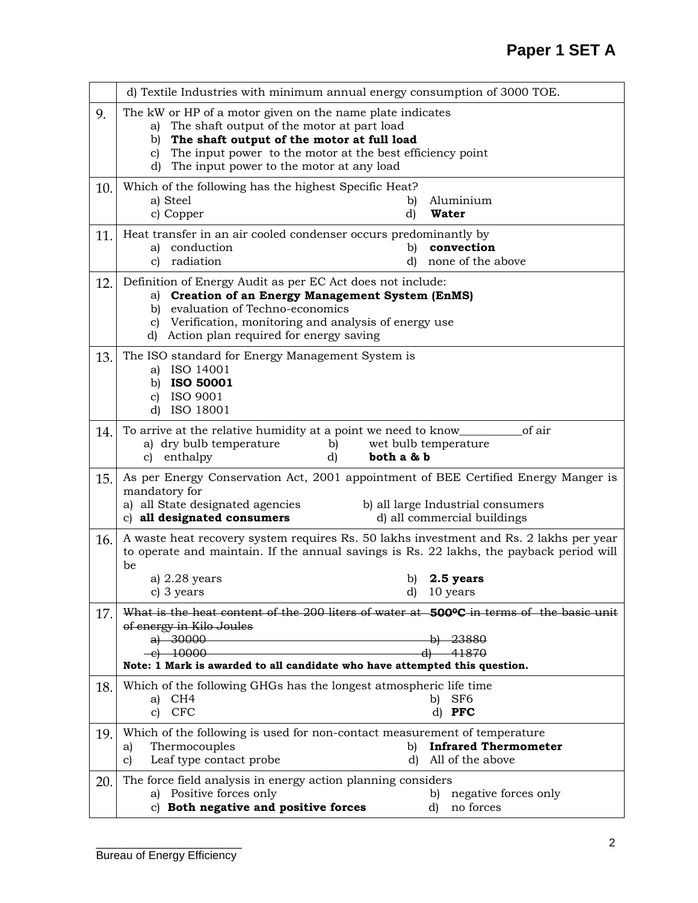|     | d) Textile Industries with minimum annual energy consumption of 3000 TOE.                                                                                                                                                                                                           |  |  |  |  |  |
|-----|-------------------------------------------------------------------------------------------------------------------------------------------------------------------------------------------------------------------------------------------------------------------------------------|--|--|--|--|--|
| 9.  | The kW or HP of a motor given on the name plate indicates<br>The shaft output of the motor at part load<br>a)<br>The shaft output of the motor at full load<br>b)<br>The input power to the motor at the best efficiency point<br>C)<br>d) The input power to the motor at any load |  |  |  |  |  |
| 10. | Which of the following has the highest Specific Heat?<br>a) Steel<br>Aluminium<br>b)<br><b>Water</b><br>c) Copper<br>d)                                                                                                                                                             |  |  |  |  |  |
| 11. | Heat transfer in an air cooled condenser occurs predominantly by<br>conduction<br>convection<br>a)<br>b)<br>radiation<br>none of the above<br>c)<br>d)                                                                                                                              |  |  |  |  |  |
| 12. | Definition of Energy Audit as per EC Act does not include:<br>a) Creation of an Energy Management System (EnMS)<br>b) evaluation of Techno-economics<br>c) Verification, monitoring and analysis of energy use<br>d) Action plan required for energy saving                         |  |  |  |  |  |
| 13. | The ISO standard for Energy Management System is<br>a) ISO 14001<br>b) ISO 50001<br>c) ISO 9001<br>d) ISO 18001                                                                                                                                                                     |  |  |  |  |  |
| 14. | To arrive at the relative humidity at a point we need to know______<br>of air<br>a) dry bulb temperature<br>wet bulb temperature<br>b)<br>c) enthalpy<br>d)<br>both a & b                                                                                                           |  |  |  |  |  |
| 15. | As per Energy Conservation Act, 2001 appointment of BEE Certified Energy Manger is<br>mandatory for<br>a) all State designated agencies<br>b) all large Industrial consumers<br>c) all designated consumers<br>d) all commercial buildings                                          |  |  |  |  |  |
| 16. | A waste heat recovery system requires Rs. 50 lakhs investment and Rs. 2 lakhs per year<br>to operate and maintain. If the annual savings is Rs. 22 lakhs, the payback period will<br>be<br>a) 2.28 years<br>2.5 years<br>b)<br>c) 3 years<br>d) 10 years                            |  |  |  |  |  |
| 17. | What is the heat content of the 200 liters of water at 500 °C in terms of the basic unit<br>of energy in Kilo Joules<br>a) $30000$ b) $23880$<br>$-e$ ) 10000 d) 41870<br>Note: 1 Mark is awarded to all candidate who have attempted this question.                                |  |  |  |  |  |
| 18. | Which of the following GHGs has the longest atmospheric life time<br>a) CH4<br>SF <sub>6</sub><br>b)<br>c) CFC<br>d) PFC                                                                                                                                                            |  |  |  |  |  |
| 19. | Which of the following is used for non-contact measurement of temperature<br><b>Infrared Thermometer</b><br>Thermocouples<br>b)<br>a)<br>Leaf type contact probe<br>All of the above<br>C)<br>d)                                                                                    |  |  |  |  |  |
| 20. | The force field analysis in energy action planning considers<br>a) Positive forces only<br>negative forces only<br>b)<br>c) Both negative and positive forces<br>no forces<br>d)                                                                                                    |  |  |  |  |  |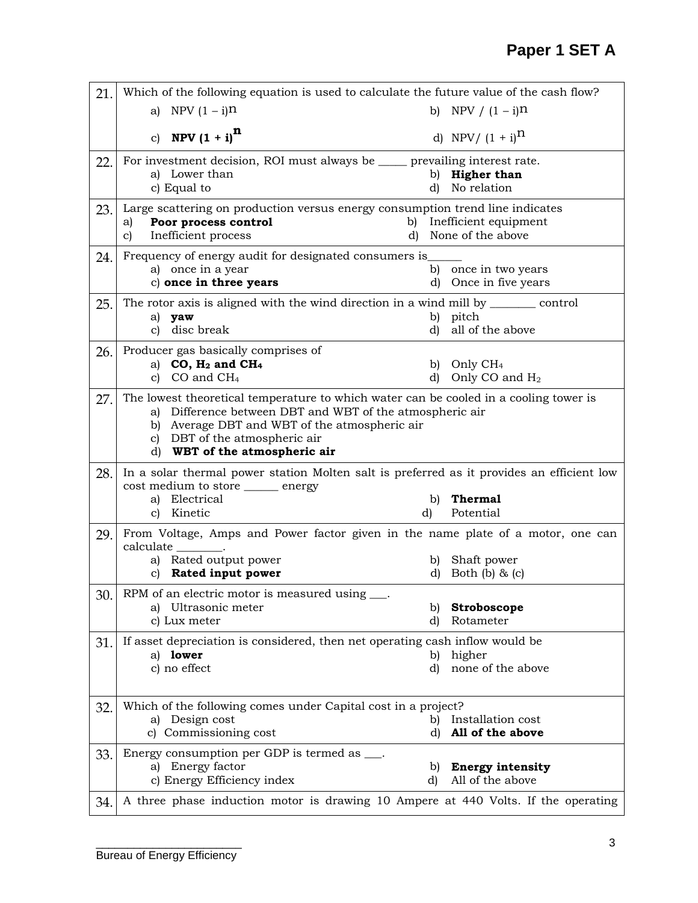| 21. | Which of the following equation is used to calculate the future value of the cash flow?                                                              |          |                                            |  |  |  |  |
|-----|------------------------------------------------------------------------------------------------------------------------------------------------------|----------|--------------------------------------------|--|--|--|--|
|     | a) NPV $(1 - i)^n$                                                                                                                                   |          | b) NPV / $(1 - i)^n$                       |  |  |  |  |
|     | c) <b>NPV</b> $(1 + i)^{n}$                                                                                                                          |          | d) NPV/ $(1 + i)^{n}$                      |  |  |  |  |
| 22. | For investment decision, ROI must always be _____ prevailing interest rate.                                                                          |          |                                            |  |  |  |  |
|     | a) Lower than<br>c) Equal to                                                                                                                         | d)       | b) Higher than<br>No relation              |  |  |  |  |
| 23. | Large scattering on production versus energy consumption trend line indicates                                                                        |          |                                            |  |  |  |  |
|     | Poor process control<br>a)                                                                                                                           | b)<br>d) | Inefficient equipment<br>None of the above |  |  |  |  |
|     | Inefficient process<br>c)                                                                                                                            |          |                                            |  |  |  |  |
| 24. | Frequency of energy audit for designated consumers is<br>a) once in a year                                                                           | b)       | once in two years                          |  |  |  |  |
|     | c) once in three years                                                                                                                               | d)       | Once in five years                         |  |  |  |  |
| 25. | The rotor axis is aligned with the wind direction in a wind mill by __________ control                                                               |          |                                            |  |  |  |  |
|     | a)<br>yaw<br>disc break<br>C)                                                                                                                        | b)<br>d) | pitch<br>all of the above                  |  |  |  |  |
| 26. | Producer gas basically comprises of                                                                                                                  |          |                                            |  |  |  |  |
|     | a) $CO$ , $H_2$ and $CH_4$                                                                                                                           | b)       | Only CH <sub>4</sub>                       |  |  |  |  |
|     | c) $CO$ and $CH4$                                                                                                                                    | d)       | Only CO and H <sub>2</sub>                 |  |  |  |  |
| 27. | The lowest theoretical temperature to which water can be cooled in a cooling tower is<br>Difference between DBT and WBT of the atmospheric air<br>a) |          |                                            |  |  |  |  |
|     | b) Average DBT and WBT of the atmospheric air                                                                                                        |          |                                            |  |  |  |  |
|     | c) DBT of the atmospheric air<br>WBT of the atmospheric air<br>d)                                                                                    |          |                                            |  |  |  |  |
| 28. | In a solar thermal power station Molten salt is preferred as it provides an efficient low                                                            |          |                                            |  |  |  |  |
|     | cost medium to store _____ energy                                                                                                                    |          |                                            |  |  |  |  |
|     | a) Electrical<br>c) Kinetic                                                                                                                          | b)<br>d) | <b>Thermal</b><br>Potential                |  |  |  |  |
| 29. | From Voltage, Amps and Power factor given in the name plate of a motor, one can                                                                      |          |                                            |  |  |  |  |
|     | calculate                                                                                                                                            |          |                                            |  |  |  |  |
|     | a) Rated output power<br>Rated input power<br>$\mathbf{c}$                                                                                           | b)<br>d) | Shaft power<br>Both $(b)$ & $(c)$          |  |  |  |  |
|     |                                                                                                                                                      |          |                                            |  |  |  |  |
|     | 30. RPM of an electric motor is measured using ___.<br>a) Ultrasonic meter                                                                           | b)       | Stroboscope                                |  |  |  |  |
|     | c) Lux meter                                                                                                                                         | d)       | Rotameter                                  |  |  |  |  |
| 31. | If asset depreciation is considered, then net operating cash inflow would be                                                                         |          |                                            |  |  |  |  |
|     | a) lower<br>c) no effect                                                                                                                             | b)<br>d) | higher<br>none of the above                |  |  |  |  |
|     |                                                                                                                                                      |          |                                            |  |  |  |  |
| 32. | Which of the following comes under Capital cost in a project?                                                                                        |          |                                            |  |  |  |  |
|     | a) Design cost                                                                                                                                       | b)       | Installation cost                          |  |  |  |  |
|     | c) Commissioning cost                                                                                                                                | d)       | All of the above                           |  |  |  |  |
| 33. | Energy consumption per GDP is termed as ___.<br>a) Energy factor                                                                                     | b)       | <b>Energy intensity</b>                    |  |  |  |  |
|     | c) Energy Efficiency index                                                                                                                           | d)       | All of the above                           |  |  |  |  |
|     |                                                                                                                                                      |          |                                            |  |  |  |  |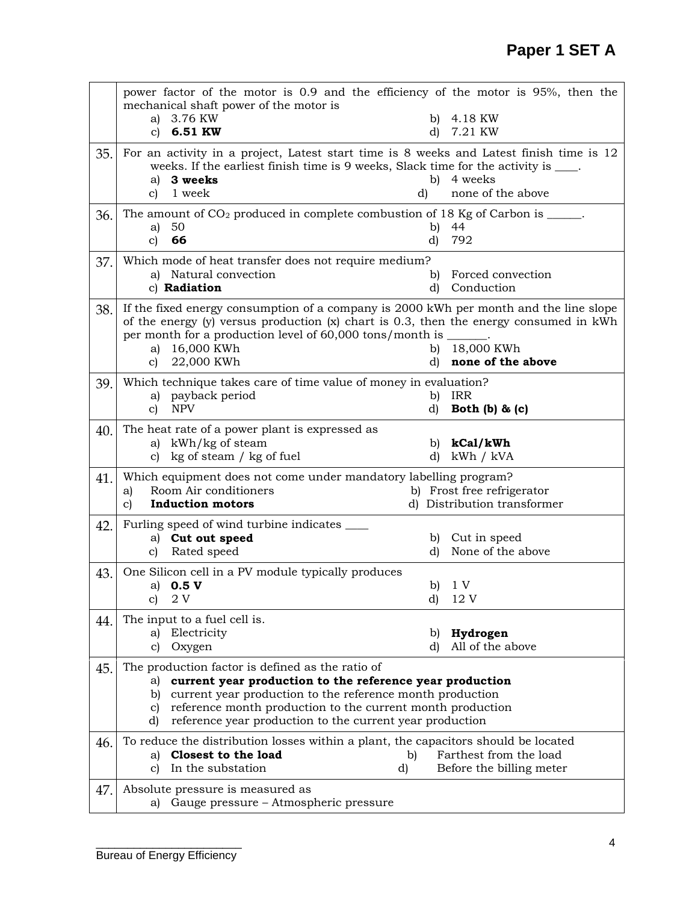|     |              | power factor of the motor is 0.9 and the efficiency of the motor is 95%, then the<br>mechanical shaft power of the motor is                                                                            |          |                              |
|-----|--------------|--------------------------------------------------------------------------------------------------------------------------------------------------------------------------------------------------------|----------|------------------------------|
|     |              | a) 3.76 KW                                                                                                                                                                                             | b)       | 4.18 KW                      |
|     | $\mathbf{C}$ | 6.51 KW                                                                                                                                                                                                | d)       | 7.21 KW                      |
| 35. | c)           | For an activity in a project, Latest start time is 8 weeks and Latest finish time is 12<br>weeks. If the earliest finish time is 9 weeks, Slack time for the activity is ____.<br>a) 3 weeks<br>1 week | b)<br>d) | 4 weeks<br>none of the above |
| 36. |              | The amount of $CO2$ produced in complete combustion of 18 Kg of Carbon is _____.                                                                                                                       |          |                              |
|     | a)           | 50                                                                                                                                                                                                     | b)       | 44                           |
|     | c)           | 66                                                                                                                                                                                                     | d)       | 792                          |
| 37. |              | Which mode of heat transfer does not require medium?                                                                                                                                                   |          | Forced convection            |
|     |              | a) Natural convection<br>c) Radiation                                                                                                                                                                  | b)<br>d) | Conduction                   |
|     |              | If the fixed energy consumption of a company is 2000 kWh per month and the line slope                                                                                                                  |          |                              |
| 38. |              | of the energy (y) versus production (x) chart is 0.3, then the energy consumed in kWh<br>per month for a production level of 60,000 tons/month is ______.                                              |          |                              |
|     | a)           | 16,000 KWh                                                                                                                                                                                             | b)       | 18,000 KWh                   |
|     | c)           | 22,000 KWh                                                                                                                                                                                             | d)       | none of the above            |
| 39. |              | Which technique takes care of time value of money in evaluation?                                                                                                                                       |          |                              |
|     |              | a) payback period                                                                                                                                                                                      | b)       | IRR                          |
|     | c)           | <b>NPV</b>                                                                                                                                                                                             | d)       | Both $(b)$ & $(c)$           |
| 40. |              | The heat rate of a power plant is expressed as                                                                                                                                                         |          |                              |
|     |              | a) kWh/kg of steam                                                                                                                                                                                     | b)       | kCal/kWh                     |
|     | C)           | kg of steam / kg of fuel                                                                                                                                                                               | d)       | kWh / kVA                    |
| 41. | a)           | Which equipment does not come under mandatory labelling program?<br>Room Air conditioners                                                                                                              |          | b) Frost free refrigerator   |
|     | c)           | <b>Induction motors</b>                                                                                                                                                                                |          | d) Distribution transformer  |
| 42. |              | Furling speed of wind turbine indicates ______                                                                                                                                                         |          |                              |
|     |              | a) Cut out speed                                                                                                                                                                                       | b)       | Cut in speed                 |
|     | C)           | Rated speed                                                                                                                                                                                            | d)       | None of the above            |
| 43. |              | One Silicon cell in a PV module typically produces                                                                                                                                                     |          |                              |
|     |              |                                                                                                                                                                                                        |          |                              |
|     |              | a) $0.5 V$                                                                                                                                                                                             |          | b) $1 V$                     |
|     | c)           | - 2 V                                                                                                                                                                                                  | d)       | 12 V                         |
| 44. |              | The input to a fuel cell is.                                                                                                                                                                           |          |                              |
|     |              | a) Electricity                                                                                                                                                                                         | b)       | Hydrogen                     |
|     | C)           | Oxygen                                                                                                                                                                                                 | d)       | All of the above             |
| 45. |              | The production factor is defined as the ratio of                                                                                                                                                       |          |                              |
|     | a)           | current year production to the reference year production                                                                                                                                               |          |                              |
|     | b)<br>C)     | current year production to the reference month production<br>reference month production to the current month production                                                                                |          |                              |
|     | d)           | reference year production to the current year production                                                                                                                                               |          |                              |
| 46. |              | To reduce the distribution losses within a plant, the capacitors should be located                                                                                                                     |          |                              |
|     |              | a) Closest to the load                                                                                                                                                                                 | b)       | Farthest from the load       |
|     | c)           | In the substation                                                                                                                                                                                      | d)       | Before the billing meter     |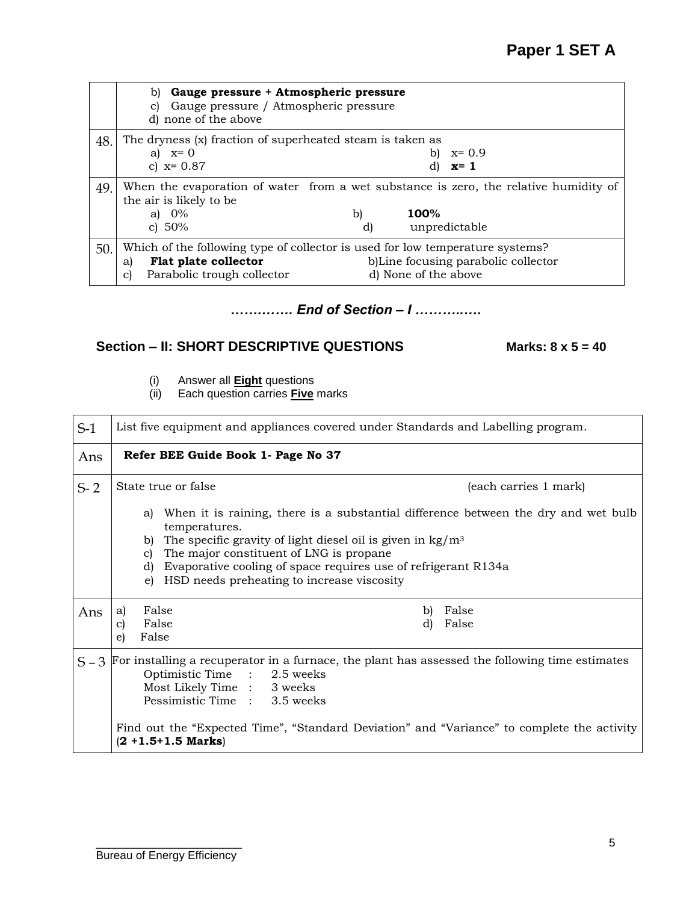|     | b) Gauge pressure + Atmospheric pressure<br>Gauge pressure / Atmospheric pressure<br>C)<br>d) none of the above |
|-----|-----------------------------------------------------------------------------------------------------------------|
| 48. | The dryness (x) fraction of superheated steam is taken as                                                       |
|     | a) $x=0$<br>$x=0.9$<br>b)                                                                                       |
|     | c) $x=0.87$<br>$x=1$                                                                                            |
| 49. | When the evaporation of water from a wet substance is zero, the relative humidity of<br>the air is likely to be |
|     | a) $0\%$<br>100%<br>b)                                                                                          |
|     | c) $50%$<br>unpredictable<br>d)                                                                                 |
| 50. | Which of the following type of collector is used for low temperature systems?                                   |
|     | b)Line focusing parabolic collector<br>Flat plate collector<br>a)                                               |
|     | Parabolic trough collector<br>d) None of the above<br>C)                                                        |

## *…….……. End of Section – I ………..….*

## **Section – II: SHORT DESCRIPTIVE QUESTIONS Marks: 8 x 5 = 40**

- (i) Answer all **Eight** questions
- (ii) Each question carries **Five** marks

| $S-1$ | List five equipment and appliances covered under Standards and Labelling program.                                                                                                                                                                                                                                                                                            |  |  |  |  |  |  |
|-------|------------------------------------------------------------------------------------------------------------------------------------------------------------------------------------------------------------------------------------------------------------------------------------------------------------------------------------------------------------------------------|--|--|--|--|--|--|
| Ans   | Refer BEE Guide Book 1- Page No 37                                                                                                                                                                                                                                                                                                                                           |  |  |  |  |  |  |
| $S-2$ | State true or false<br>(each carries 1 mark)                                                                                                                                                                                                                                                                                                                                 |  |  |  |  |  |  |
|       | When it is raining, there is a substantial difference between the dry and wet bulb<br>a)<br>temperatures.<br>The specific gravity of light diesel oil is given in $\text{kg}/\text{m}^3$<br>b)<br>The major constituent of LNG is propane.<br>C)<br>Evaporative cooling of space requires use of refrigerant R134a<br>d)<br>HSD needs preheating to increase viscosity<br>e) |  |  |  |  |  |  |
| Ans   | False<br>False<br>b)<br>a)<br>False<br>d)<br>False<br>$\mathbf{c}$<br>False<br>e)                                                                                                                                                                                                                                                                                            |  |  |  |  |  |  |
|       | $S-3$ For installing a recuperator in a furnace, the plant has assessed the following time estimates<br>Optimistic Time : 2.5 weeks<br>Most Likely Time : 3 weeks<br>Pessimistic Time : 3.5 weeks<br>Find out the "Expected Time", "Standard Deviation" and "Variance" to complete the activity<br>$(2 + 1.5 + 1.5$ Marks)                                                   |  |  |  |  |  |  |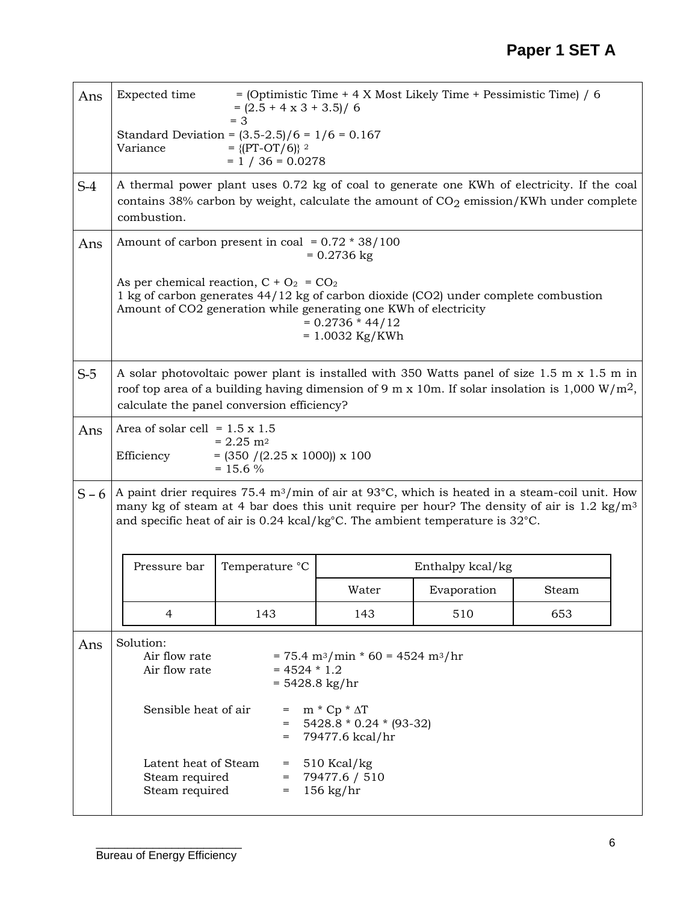| Ans     | Expected time<br>$=$ (Optimistic Time + 4 X Most Likely Time + Pessimistic Time) / 6<br>$= (2.5 + 4 \times 3 + 3.5) / 6$<br>$=$ 3                                                                     |                                                                                                                                                                                                                                                                                                                 |                                                                     |                  |       |  |  |  |
|---------|-------------------------------------------------------------------------------------------------------------------------------------------------------------------------------------------------------|-----------------------------------------------------------------------------------------------------------------------------------------------------------------------------------------------------------------------------------------------------------------------------------------------------------------|---------------------------------------------------------------------|------------------|-------|--|--|--|
|         | Standard Deviation = $(3.5-2.5)/6 = 1/6 = 0.167$<br>Variance<br>$= \{[PT-OT/6]\}$ 2<br>$= 1 / 36 = 0.0278$                                                                                            |                                                                                                                                                                                                                                                                                                                 |                                                                     |                  |       |  |  |  |
| $S-4$   | A thermal power plant uses 0.72 kg of coal to generate one KWh of electricity. If the coal<br>contains 38% carbon by weight, calculate the amount of $CO2$ emission/KWh under complete<br>combustion. |                                                                                                                                                                                                                                                                                                                 |                                                                     |                  |       |  |  |  |
| Ans     |                                                                                                                                                                                                       | Amount of carbon present in coal = $0.72 * 38/100$                                                                                                                                                                                                                                                              | $= 0.2736$ kg                                                       |                  |       |  |  |  |
|         |                                                                                                                                                                                                       | As per chemical reaction, $C + O_2 = CO_2$<br>1 kg of carbon generates 44/12 kg of carbon dioxide (CO2) under complete combustion<br>Amount of CO2 generation while generating one KWh of electricity                                                                                                           | $= 0.2736 * 44/12$<br>$= 1.0032$ Kg/KWh                             |                  |       |  |  |  |
| $S-5$   |                                                                                                                                                                                                       | A solar photovoltaic power plant is installed with 350 Watts panel of size 1.5 m x 1.5 m in<br>roof top area of a building having dimension of 9 m x 10m. If solar insolation is 1,000 W/m <sup>2</sup> ,<br>calculate the panel conversion efficiency?                                                         |                                                                     |                  |       |  |  |  |
| Ans     | Area of solar cell = $1.5 \times 1.5$<br>Efficiency                                                                                                                                                   | $= 2.25$ m <sup>2</sup><br>$= (350 / (2.25 \times 1000)) \times 100$<br>$= 15.6 \%$                                                                                                                                                                                                                             |                                                                     |                  |       |  |  |  |
| $S - 6$ |                                                                                                                                                                                                       | A paint drier requires 75.4 m <sup>3</sup> /min of air at 93°C, which is heated in a steam-coil unit. How<br>many kg of steam at 4 bar does this unit require per hour? The density of air is 1.2 kg/m <sup>3</sup><br>and specific heat of air is $0.24$ kcal/kg°C. The ambient temperature is $32^{\circ}$ C. |                                                                     |                  |       |  |  |  |
|         | Pressure bar                                                                                                                                                                                          | Temperature °C                                                                                                                                                                                                                                                                                                  |                                                                     | Enthalpy kcal/kg |       |  |  |  |
|         |                                                                                                                                                                                                       |                                                                                                                                                                                                                                                                                                                 | Water                                                               | Evaporation      | Steam |  |  |  |
|         | $\overline{4}$                                                                                                                                                                                        | 143                                                                                                                                                                                                                                                                                                             | 143                                                                 | 510              | 653   |  |  |  |
| Ans     | Solution:<br>Air flow rate<br>Air flow rate                                                                                                                                                           | $= 4524 * 1.2$<br>$= 5428.8$ kg/hr                                                                                                                                                                                                                                                                              | $= 75.4 \text{ m}^3/\text{min} * 60 = 4524 \text{ m}^3/\text{hr}$   |                  |       |  |  |  |
|         | Sensible heat of air                                                                                                                                                                                  | $=$<br>$=$<br>$=$                                                                                                                                                                                                                                                                                               | $m * Cp * \Delta T$<br>$5428.8 * 0.24 * (93-32)$<br>79477.6 kcal/hr |                  |       |  |  |  |
|         | Latent heat of Steam<br>Steam required<br>Steam required                                                                                                                                              | $=$<br>$=$<br>$=$                                                                                                                                                                                                                                                                                               | 510 Kcal/kg<br>79477.6 / 510<br>$156$ kg/hr                         |                  |       |  |  |  |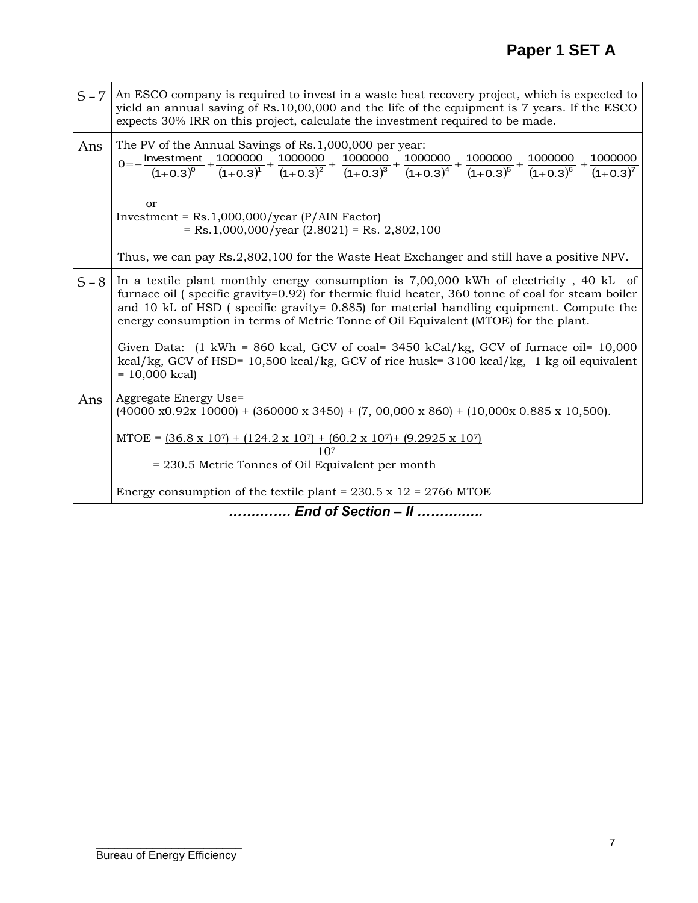| $S - 7$ | An ESCO company is required to invest in a waste heat recovery project, which is expected to<br>yield an annual saving of Rs.10,00,000 and the life of the equipment is 7 years. If the ESCO<br>expects 30% IRR on this project, calculate the investment required to be made.                                                                                                                                                                                                                                                                                                                                |  |  |  |  |  |  |  |  |
|---------|---------------------------------------------------------------------------------------------------------------------------------------------------------------------------------------------------------------------------------------------------------------------------------------------------------------------------------------------------------------------------------------------------------------------------------------------------------------------------------------------------------------------------------------------------------------------------------------------------------------|--|--|--|--|--|--|--|--|
| Ans     | The PV of the Annual Savings of Rs.1,000,000 per year:<br>$0 = -\frac{\text{Investment}}{(1+0.3)^0} + \frac{1000000}{(1+0.3)^1} + \frac{1000000}{(1+0.3)^2} + \frac{1000000}{(1+0.3)^3} + \frac{1000000}{(1+0.3)^4} + \frac{1000000}{(1+0.3)^5} + \frac{1000000}{(1+0.3)^6} + \frac{1000000}{(1+0.3)^7}$                                                                                                                                                                                                                                                                                                      |  |  |  |  |  |  |  |  |
|         | or<br>Investment = $Rs.1,000,000/year$ (P/AIN Factor)<br>$=$ Rs.1,000,000/year (2.8021) = Rs. 2,802,100                                                                                                                                                                                                                                                                                                                                                                                                                                                                                                       |  |  |  |  |  |  |  |  |
|         | Thus, we can pay Rs.2,802,100 for the Waste Heat Exchanger and still have a positive NPV.                                                                                                                                                                                                                                                                                                                                                                                                                                                                                                                     |  |  |  |  |  |  |  |  |
| $S - 8$ | In a textile plant monthly energy consumption is 7,00,000 kWh of electricity, 40 kL of<br>furnace oil (specific gravity=0.92) for thermic fluid heater, 360 tonne of coal for steam boiler<br>and 10 kL of HSD (specific gravity= 0.885) for material handling equipment. Compute the<br>energy consumption in terms of Metric Tonne of Oil Equivalent (MTOE) for the plant.<br>Given Data: $(1 \text{ kWh} = 860 \text{ kcal}, \text{GCV}$ of coal= 3450 kCal/kg, GCV of furnace oil= 10,000<br>kcal/kg, GCV of HSD= 10,500 kcal/kg, GCV of rice husk= 3100 kcal/kg, 1 kg oil equivalent<br>$= 10,000$ kcal) |  |  |  |  |  |  |  |  |
| Ans     | Aggregate Energy Use=<br>$(40000 \times 0.92 \times 10000)$ + $(360000 \times 3450)$ + $(7, 00,000 \times 860)$ + $(10,000 \times 0.885 \times 10,500)$ .                                                                                                                                                                                                                                                                                                                                                                                                                                                     |  |  |  |  |  |  |  |  |
|         | MTOE = $(36.8 \times 10^7)$ + $(124.2 \times 10^7)$ + $(60.2 \times 10^7)$ + $(9.2925 \times 10^7)$                                                                                                                                                                                                                                                                                                                                                                                                                                                                                                           |  |  |  |  |  |  |  |  |
|         | 10 <sub>7</sub><br>= 230.5 Metric Tonnes of Oil Equivalent per month                                                                                                                                                                                                                                                                                                                                                                                                                                                                                                                                          |  |  |  |  |  |  |  |  |
|         | Energy consumption of the textile plant = $230.5 \times 12 = 2766$ MTOE                                                                                                                                                                                                                                                                                                                                                                                                                                                                                                                                       |  |  |  |  |  |  |  |  |
|         |                                                                                                                                                                                                                                                                                                                                                                                                                                                                                                                                                                                                               |  |  |  |  |  |  |  |  |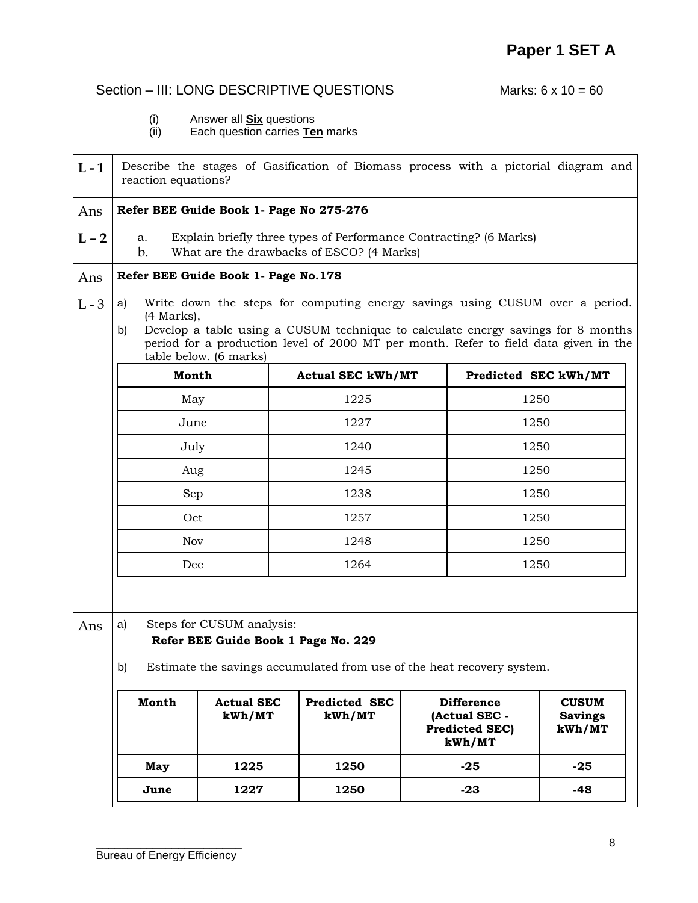# Section – III: LONG DESCRIPTIVE QUESTIONS Marks: 6 x 10 = 60

- (i) Answer all **Six** questions
- (ii) Each question carries **Ten** marks

| $L - 1$ | Describe the stages of Gasification of Biomass process with a pictorial diagram and<br>reaction equations?                             |                                                                                                                                                                                                                                                                                                    |                          |                                                                       |                                          |  |  |  |  |
|---------|----------------------------------------------------------------------------------------------------------------------------------------|----------------------------------------------------------------------------------------------------------------------------------------------------------------------------------------------------------------------------------------------------------------------------------------------------|--------------------------|-----------------------------------------------------------------------|------------------------------------------|--|--|--|--|
| Ans     | Refer BEE Guide Book 1- Page No 275-276                                                                                                |                                                                                                                                                                                                                                                                                                    |                          |                                                                       |                                          |  |  |  |  |
| $L - 2$ | Explain briefly three types of Performance Contracting? (6 Marks)<br>a.<br>What are the drawbacks of ESCO? (4 Marks)<br>$\mathbf{b}$ . |                                                                                                                                                                                                                                                                                                    |                          |                                                                       |                                          |  |  |  |  |
| Ans     |                                                                                                                                        | Refer BEE Guide Book 1- Page No.178                                                                                                                                                                                                                                                                |                          |                                                                       |                                          |  |  |  |  |
| $L - 3$ | a)<br>b)                                                                                                                               | Write down the steps for computing energy savings using CUSUM over a period.<br>$(4$ Marks),<br>Develop a table using a CUSUM technique to calculate energy savings for 8 months<br>period for a production level of 2000 MT per month. Refer to field data given in the<br>table below. (6 marks) |                          |                                                                       |                                          |  |  |  |  |
|         | Month                                                                                                                                  |                                                                                                                                                                                                                                                                                                    | <b>Actual SEC kWh/MT</b> | Predicted SEC kWh/MT                                                  |                                          |  |  |  |  |
|         | May                                                                                                                                    |                                                                                                                                                                                                                                                                                                    | 1225                     | 1250                                                                  |                                          |  |  |  |  |
|         | June                                                                                                                                   |                                                                                                                                                                                                                                                                                                    | 1227                     | 1250                                                                  |                                          |  |  |  |  |
|         | July                                                                                                                                   |                                                                                                                                                                                                                                                                                                    | 1240                     |                                                                       | 1250                                     |  |  |  |  |
|         | Aug                                                                                                                                    |                                                                                                                                                                                                                                                                                                    | 1245                     | 1250                                                                  |                                          |  |  |  |  |
|         | Sep                                                                                                                                    |                                                                                                                                                                                                                                                                                                    | 1238                     | 1250                                                                  |                                          |  |  |  |  |
|         | Oct                                                                                                                                    |                                                                                                                                                                                                                                                                                                    | 1257                     | 1250                                                                  |                                          |  |  |  |  |
|         | Nov                                                                                                                                    |                                                                                                                                                                                                                                                                                                    | 1248                     | 1250                                                                  |                                          |  |  |  |  |
|         | Dec                                                                                                                                    |                                                                                                                                                                                                                                                                                                    | 1264                     | 1250                                                                  |                                          |  |  |  |  |
| Ans     | a)                                                                                                                                     | Steps for CUSUM analysis:                                                                                                                                                                                                                                                                          |                          |                                                                       |                                          |  |  |  |  |
|         |                                                                                                                                        | Refer BEE Guide Book 1 Page No. 229                                                                                                                                                                                                                                                                |                          |                                                                       |                                          |  |  |  |  |
|         | b)<br>Estimate the savings accumulated from use of the heat recovery system.                                                           |                                                                                                                                                                                                                                                                                                    |                          |                                                                       |                                          |  |  |  |  |
|         | Month                                                                                                                                  | <b>Actual SEC</b><br>kWh/MT                                                                                                                                                                                                                                                                        | Predicted SEC<br>kWh/MT  | <b>Difference</b><br>(Actual SEC -<br><b>Predicted SEC)</b><br>kWh/MT | <b>CUSUM</b><br><b>Savings</b><br>kWh/MT |  |  |  |  |
|         | May                                                                                                                                    | 1225                                                                                                                                                                                                                                                                                               | 1250                     | $-25$                                                                 | $-25$                                    |  |  |  |  |
|         | June                                                                                                                                   | 1227                                                                                                                                                                                                                                                                                               | 1250                     | $-23$                                                                 | -48                                      |  |  |  |  |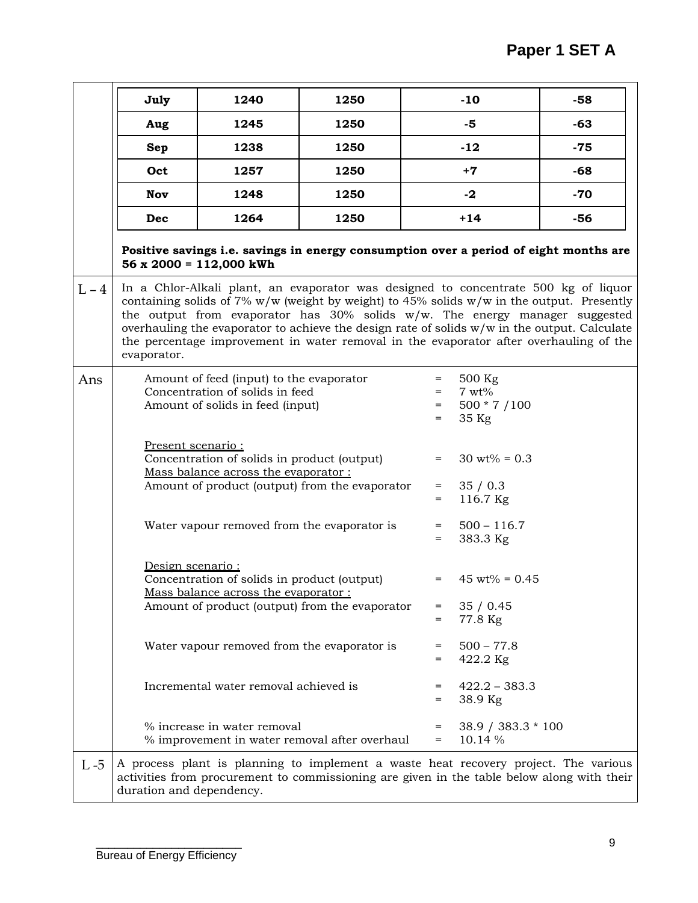|         | July                                                                                                                                                                                                                                                                                                                                                                                                                                                                         | 1240                                                                                                            | 1250                                                                                                                                                                              |                          | $-10$                                         | $-58$ |  |  |
|---------|------------------------------------------------------------------------------------------------------------------------------------------------------------------------------------------------------------------------------------------------------------------------------------------------------------------------------------------------------------------------------------------------------------------------------------------------------------------------------|-----------------------------------------------------------------------------------------------------------------|-----------------------------------------------------------------------------------------------------------------------------------------------------------------------------------|--------------------------|-----------------------------------------------|-------|--|--|
|         | Aug                                                                                                                                                                                                                                                                                                                                                                                                                                                                          | 1245                                                                                                            | 1250                                                                                                                                                                              |                          | $-5$                                          | $-63$ |  |  |
|         | Sep                                                                                                                                                                                                                                                                                                                                                                                                                                                                          | 1238                                                                                                            | 1250                                                                                                                                                                              |                          | $-12$                                         | $-75$ |  |  |
|         | Oct                                                                                                                                                                                                                                                                                                                                                                                                                                                                          | 1257                                                                                                            | 1250                                                                                                                                                                              |                          | $+7$                                          | -68   |  |  |
|         | <b>Nov</b>                                                                                                                                                                                                                                                                                                                                                                                                                                                                   | 1248                                                                                                            | 1250                                                                                                                                                                              |                          | $-2$                                          | $-70$ |  |  |
|         | Dec                                                                                                                                                                                                                                                                                                                                                                                                                                                                          | 1264                                                                                                            | 1250                                                                                                                                                                              |                          | $+14$                                         | $-56$ |  |  |
|         |                                                                                                                                                                                                                                                                                                                                                                                                                                                                              | $56 \times 2000 = 112,000$ kWh                                                                                  | Positive savings i.e. savings in energy consumption over a period of eight months are                                                                                             |                          |                                               |       |  |  |
| $L - 4$ | In a Chlor-Alkali plant, an evaporator was designed to concentrate 500 kg of liquor<br>containing solids of 7% $w/w$ (weight by weight) to 45% solids $w/w$ in the output. Presently<br>the output from evaporator has 30% solids w/w. The energy manager suggested<br>overhauling the evaporator to achieve the design rate of solids w/w in the output. Calculate<br>the percentage improvement in water removal in the evaporator after overhauling of the<br>evaporator. |                                                                                                                 |                                                                                                                                                                                   |                          |                                               |       |  |  |
| Ans     |                                                                                                                                                                                                                                                                                                                                                                                                                                                                              | Amount of feed (input) to the evaporator<br>Concentration of solids in feed<br>Amount of solids in feed (input) |                                                                                                                                                                                   | $=$<br>$=$<br>$=$<br>$=$ | 500 Kg<br>$7 wt\%$<br>500 * 7 / 100<br>35 Kg  |       |  |  |
|         | Present scenario:                                                                                                                                                                                                                                                                                                                                                                                                                                                            | Concentration of solids in product (output)<br>Mass balance across the evaporator:                              | Amount of product (output) from the evaporator                                                                                                                                    | $=$<br>$=$<br>$=$        | $30 \text{ wt\%} = 0.3$<br>35/0.3<br>116.7 Kg |       |  |  |
|         |                                                                                                                                                                                                                                                                                                                                                                                                                                                                              | Water vapour removed from the evaporator is                                                                     |                                                                                                                                                                                   | $=$<br>$=$               | $500 - 116.7$<br>383.3 Kg                     |       |  |  |
|         | Design scenario:<br>Concentration of solids in product (output)<br>$= 45 \text{ wt} \% = 0.45$<br>Mass balance across the evaporator:<br>Amount of product (output) from the evaporator<br>35/0.45<br>=<br>77.8 Kg<br>=                                                                                                                                                                                                                                                      |                                                                                                                 |                                                                                                                                                                                   |                          |                                               |       |  |  |
|         |                                                                                                                                                                                                                                                                                                                                                                                                                                                                              | Water vapour removed from the evaporator is                                                                     | $=$<br>$=$                                                                                                                                                                        | $500 - 77.8$<br>422.2 Kg |                                               |       |  |  |
|         |                                                                                                                                                                                                                                                                                                                                                                                                                                                                              | Incremental water removal achieved is                                                                           |                                                                                                                                                                                   | $=$<br>$=$               | $422.2 - 383.3$<br>38.9 Kg                    |       |  |  |
|         |                                                                                                                                                                                                                                                                                                                                                                                                                                                                              | % increase in water removal                                                                                     | % improvement in water removal after overhaul                                                                                                                                     | $=$<br>$=$               | 38.9 / 383.3 * 100<br>10.14 %                 |       |  |  |
| $L - 5$ |                                                                                                                                                                                                                                                                                                                                                                                                                                                                              |                                                                                                                 | A process plant is planning to implement a waste heat recovery project. The various<br>activities from procurement to commissioning are given in the table below along with their |                          |                                               |       |  |  |

duration and dependency.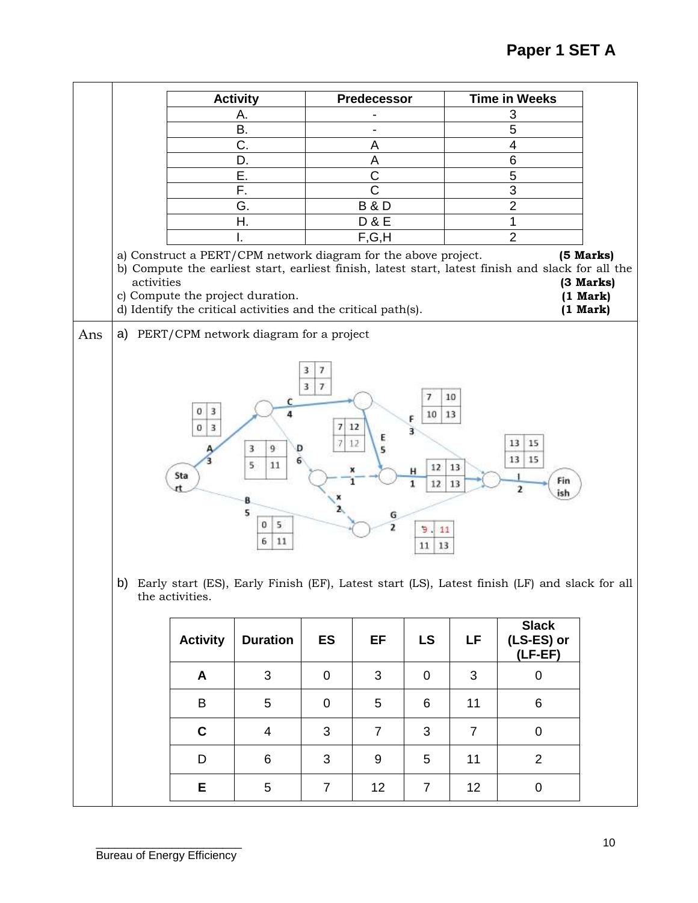|     |                                                                                                                                                                                                                                                                                                                                                                                                                             |                 | <b>Activity</b>                           |                | Predecessor           |                |                | <b>Time in Weeks</b>                    |  |  |  |
|-----|-----------------------------------------------------------------------------------------------------------------------------------------------------------------------------------------------------------------------------------------------------------------------------------------------------------------------------------------------------------------------------------------------------------------------------|-----------------|-------------------------------------------|----------------|-----------------------|----------------|----------------|-----------------------------------------|--|--|--|
|     |                                                                                                                                                                                                                                                                                                                                                                                                                             |                 | А.                                        |                |                       |                |                | 3                                       |  |  |  |
|     |                                                                                                                                                                                                                                                                                                                                                                                                                             |                 | Β.                                        |                |                       |                |                | $\overline{5}$                          |  |  |  |
|     |                                                                                                                                                                                                                                                                                                                                                                                                                             |                 | C.                                        |                | Α                     |                |                | 4                                       |  |  |  |
|     |                                                                                                                                                                                                                                                                                                                                                                                                                             |                 | D.                                        |                | A                     |                |                | $\overline{6}$                          |  |  |  |
|     |                                                                                                                                                                                                                                                                                                                                                                                                                             |                 | Ε.                                        |                | $\overline{\text{c}}$ |                |                | 5                                       |  |  |  |
|     |                                                                                                                                                                                                                                                                                                                                                                                                                             |                 | F.                                        |                | $\overline{\text{C}}$ |                |                | 3                                       |  |  |  |
|     |                                                                                                                                                                                                                                                                                                                                                                                                                             |                 | G.                                        |                | <b>B&amp;D</b>        |                |                | $\overline{2}$                          |  |  |  |
|     |                                                                                                                                                                                                                                                                                                                                                                                                                             |                 | Η.                                        |                | <b>D&amp;E</b>        |                |                | 1                                       |  |  |  |
|     |                                                                                                                                                                                                                                                                                                                                                                                                                             |                 |                                           |                | F,G,H                 |                |                | $\overline{2}$                          |  |  |  |
|     | a) Construct a PERT/CPM network diagram for the above project.<br>(5 Marks)<br>b) Compute the earliest start, earliest finish, latest start, latest finish and slack for all the<br>activities<br>(3 Marks)<br>c) Compute the project duration.<br>(1 Mark)<br>d) Identify the critical activities and the critical path(s).<br>(1 Mark)                                                                                    |                 |                                           |                |                       |                |                |                                         |  |  |  |
| Ans |                                                                                                                                                                                                                                                                                                                                                                                                                             |                 | a) PERT/CPM network diagram for a project |                |                       |                |                |                                         |  |  |  |
|     | 3<br>7<br>3<br>$\tau$<br>10<br>7<br>c<br>0<br>3<br>10<br>13<br>Δ<br>F<br>7<br>12<br>0<br>3<br>3<br>E<br>7<br>12<br>13<br>15<br>9<br>5<br>3<br>D<br>15<br>13<br>5<br>11<br>12<br>13<br>Н<br>Sta<br>Fin<br>1<br>12<br>13<br>2<br>ish<br>8<br>5<br>G<br>5<br>0<br>2<br>э<br>11<br>6<br>11<br>13<br>11<br>b)<br>Early start (ES), Early Finish (EF), Latest start (LS), Latest finish (LF) and slack for all<br>the activities. |                 |                                           |                |                       |                |                |                                         |  |  |  |
|     |                                                                                                                                                                                                                                                                                                                                                                                                                             | <b>Activity</b> | <b>Duration</b>                           | <b>ES</b>      | EF                    | <b>LS</b>      | LF             | <b>Slack</b><br>(LS-ES) or<br>$(LF-EF)$ |  |  |  |
|     |                                                                                                                                                                                                                                                                                                                                                                                                                             | A               | 3                                         | $\mathbf 0$    | 3                     | $\mathbf 0$    | 3              | $\pmb{0}$                               |  |  |  |
|     |                                                                                                                                                                                                                                                                                                                                                                                                                             | B               | 5                                         | $\mathbf 0$    | 5                     | 6              | 11             | 6                                       |  |  |  |
|     |                                                                                                                                                                                                                                                                                                                                                                                                                             | $\mathbf C$     | $\overline{4}$                            | 3              | $\overline{7}$        | 3              | $\overline{7}$ | $\mathbf 0$                             |  |  |  |
|     |                                                                                                                                                                                                                                                                                                                                                                                                                             | D               | 6                                         | 3              | 9                     | 5              | 11             | $\overline{2}$                          |  |  |  |
|     |                                                                                                                                                                                                                                                                                                                                                                                                                             | Е               | 5                                         | $\overline{7}$ | 12                    | $\overline{7}$ | 12             | $\pmb{0}$                               |  |  |  |